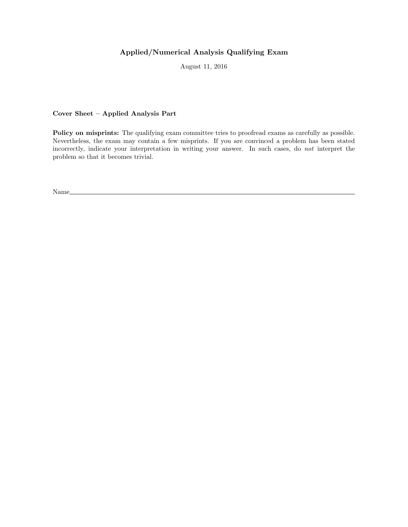## Applied/Numerical Analysis Qualifying Exam

August 11, 2016

## Cover Sheet – Applied Analysis Part

Policy on misprints: The qualifying exam committee tries to proofread exams as carefully as possible. Nevertheless, the exam may contain a few misprints. If you are convinced a problem has been stated incorrectly, indicate your interpretation in writing your answer. In such cases, do not interpret the problem so that it becomes trivial.

Name